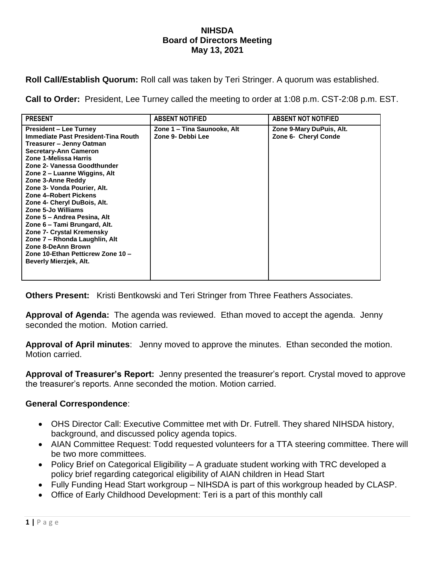## **NIHSDA Board of Directors Meeting May 13, 2021**

**Roll Call/Establish Quorum:** Roll call was taken by Teri Stringer. A quorum was established.

**Call to Order:** President, Lee Turney called the meeting to order at 1:08 p.m. CST-2:08 p.m. EST.

| <b>President – Lee Turney</b><br>Zone 1 – Tina Saunooke, Alt<br>Zone 9-Mary DuPuis, Alt.<br>Immediate Past President-Tina Routh<br>Zone 6- Cheryl Conde<br>Zone 9- Debbi Lee<br>Treasurer – Jenny Oatman<br><b>Secretary-Ann Cameron</b><br>Zone 1-Melissa Harris<br>Zone 2- Vanessa Goodthunder<br>Zone 2 – Luanne Wiggins, Alt<br>Zone 3-Anne Reddy<br>Zone 3- Vonda Pourier, Alt.<br>Zone 4-Robert Pickens<br>Zone 4- Cheryl DuBois, Alt.<br>Zone 5-Jo Williams<br>Zone 5 – Andrea Pesina, Alt<br>Zone 6 - Tami Brungard, Alt. | <b>PRESENT</b> | <b>ABSENT NOTIFIED</b> | <b>ABSENT NOT NOTIFIED</b> |
|-----------------------------------------------------------------------------------------------------------------------------------------------------------------------------------------------------------------------------------------------------------------------------------------------------------------------------------------------------------------------------------------------------------------------------------------------------------------------------------------------------------------------------------|----------------|------------------------|----------------------------|
| Zone 7- Crystal Kremensky<br>Zone 7 - Rhonda Laughlin, Alt<br>Zone 8-DeAnn Brown<br>Zone 10-Ethan Petticrew Zone 10 -<br>Beverly Mierzjek, Alt.                                                                                                                                                                                                                                                                                                                                                                                   |                |                        |                            |

**Others Present:** Kristi Bentkowski and Teri Stringer from Three Feathers Associates.

**Approval of Agenda:** The agenda was reviewed. Ethan moved to accept the agenda. Jenny seconded the motion. Motion carried.

**Approval of April minutes**: Jenny moved to approve the minutes. Ethan seconded the motion. Motion carried.

**Approval of Treasurer's Report:** Jenny presented the treasurer's report. Crystal moved to approve the treasurer's reports. Anne seconded the motion. Motion carried.

## **General Correspondence**:

- OHS Director Call: Executive Committee met with Dr. Futrell. They shared NIHSDA history, background, and discussed policy agenda topics.
- AIAN Committee Request: Todd requested volunteers for a TTA steering committee. There will be two more committees.
- Policy Brief on Categorical Eligibility A graduate student working with TRC developed a policy brief regarding categorical eligibility of AIAN children in Head Start
- Fully Funding Head Start workgroup NIHSDA is part of this workgroup headed by CLASP.
- Office of Early Childhood Development: Teri is a part of this monthly call